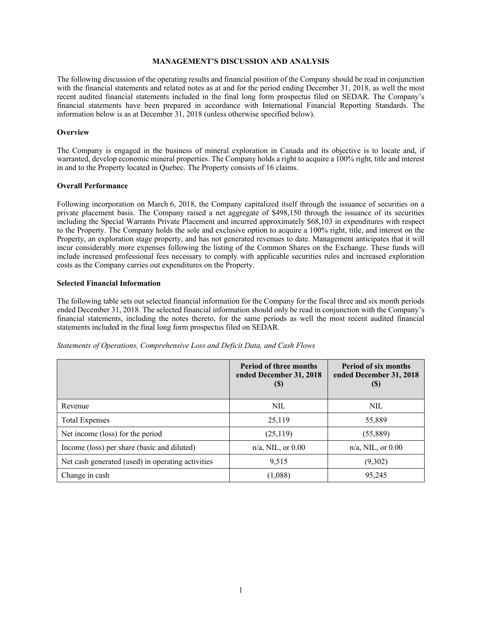## **MANAGEMENT'S DISCUSSION AND ANALYSIS**

The following discussion of the operating results and financial position of the Company should be read in conjunction with the financial statements and related notes as at and for the period ending December 31, 2018, as well the most recent audited financial statements included in the final long form prospectus filed on SEDAR. The Company's financial statements have been prepared in accordance with International Financial Reporting Standards. The information below is as at December 31, 2018 (unless otherwise specified below).

#### **Overview**

The Company is engaged in the business of mineral exploration in Canada and its objective is to locate and, if warranted, develop economic mineral properties. The Company holds a right to acquire a 100% right, title and interest in and to the Property located in Quebec. The Property consists of 16 claims.

#### **Overall Performance**

Following incorporation on March 6, 2018, the Company capitalized itself through the issuance of securities on a private placement basis. The Company raised a net aggregate of \$498,150 through the issuance of its securities including the Special Warrants Private Placement and incurred approximately \$68,103 in expenditures with respect to the Property. The Company holds the sole and exclusive option to acquire a 100% right, title, and interest on the Property, an exploration stage property, and has not generated revenues to date. Management anticipates that it will incur considerably more expenses following the listing of the Common Shares on the Exchange. These funds will include increased professional fees necessary to comply with applicable securities rules and increased exploration costs as the Company carries out expenditures on the Property.

#### **Selected Financial Information**

The following table sets out selected financial information for the Company for the fiscal three and six month periods ended December 31, 2018. The selected financial information should only be read in conjunction with the Company's financial statements, including the notes thereto, for the same periods as well the most recent audited financial statements included in the final long form prospectus filed on SEDAR.

|                                                   | <b>Period of three months</b><br>ended December 31, 2018<br>(S) | <b>Period of six months</b><br>ended December 31, 2018<br>(5) |
|---------------------------------------------------|-----------------------------------------------------------------|---------------------------------------------------------------|
| Revenue                                           | <b>NIL</b>                                                      | <b>NIL</b>                                                    |
| <b>Total Expenses</b>                             | 25,119                                                          | 55,889                                                        |
| Net income (loss) for the period                  | (25, 119)                                                       | (55,889)                                                      |
| Income (loss) per share (basic and diluted)       | $n/a$ , NIL, or 0.00                                            | $n/a$ , NIL, or 0.00                                          |
| Net cash generated (used) in operating activities | 9,515                                                           | (9,302)                                                       |
| Change in cash                                    | (1,088)                                                         | 95,245                                                        |

*Statements of Operations, Comprehensive Loss and Deficit Data, and Cash Flows*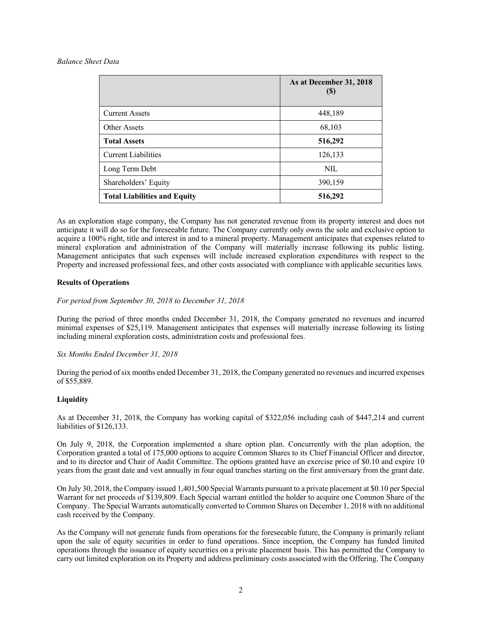## *Balance Sheet Data*

|                                     | As at December 31, 2018<br>$\left( \mathbb{S}\right)$ |
|-------------------------------------|-------------------------------------------------------|
| <b>Current Assets</b>               | 448,189                                               |
| Other Assets                        | 68,103                                                |
| <b>Total Assets</b>                 | 516,292                                               |
| <b>Current Liabilities</b>          | 126,133                                               |
| Long Term Debt                      | <b>NIL</b>                                            |
| Shareholders' Equity                | 390,159                                               |
| <b>Total Liabilities and Equity</b> | 516,292                                               |

As an exploration stage company, the Company has not generated revenue from its property interest and does not anticipate it will do so for the foreseeable future. The Company currently only owns the sole and exclusive option to acquire a 100% right, title and interest in and to a mineral property. Management anticipates that expenses related to mineral exploration and administration of the Company will materially increase following its public listing. Management anticipates that such expenses will include increased exploration expenditures with respect to the Property and increased professional fees, and other costs associated with compliance with applicable securities laws.

# **Results of Operations**

# *For period from September 30, 2018 to December 31, 2018*

During the period of three months ended December 31, 2018, the Company generated no revenues and incurred minimal expenses of \$25,119. Management anticipates that expenses will materially increase following its listing including mineral exploration costs, administration costs and professional fees.

# *Six Months Ended December 31, 2018*

During the period of six months ended December 31, 2018, the Company generated no revenues and incurred expenses of \$55,889.

# **Liquidity**

As at December 31, 2018, the Company has working capital of \$322,056 including cash of \$447,214 and current liabilities of \$126,133.

On July 9, 2018, the Corporation implemented a share option plan. Concurrently with the plan adoption, the Corporation granted a total of 175,000 options to acquire Common Shares to its Chief Financial Officer and director, and to its director and Chair of Audit Committee. The options granted have an exercise price of \$0.10 and expire 10 years from the grant date and vest annually in four equal tranches starting on the first anniversary from the grant date.

On July 30, 2018, the Company issued 1,401,500 Special Warrants pursuant to a private placement at \$0.10 per Special Warrant for net proceeds of \$139,809. Each Special warrant entitled the holder to acquire one Common Share of the Company. The Special Warrants automatically converted to Common Shares on December 1, 2018 with no additional cash received by the Company.

As the Company will not generate funds from operations for the foreseeable future, the Company is primarily reliant upon the sale of equity securities in order to fund operations. Since inception, the Company has funded limited operations through the issuance of equity securities on a private placement basis. This has permitted the Company to carry out limited exploration on its Property and address preliminary costs associated with the Offering. The Company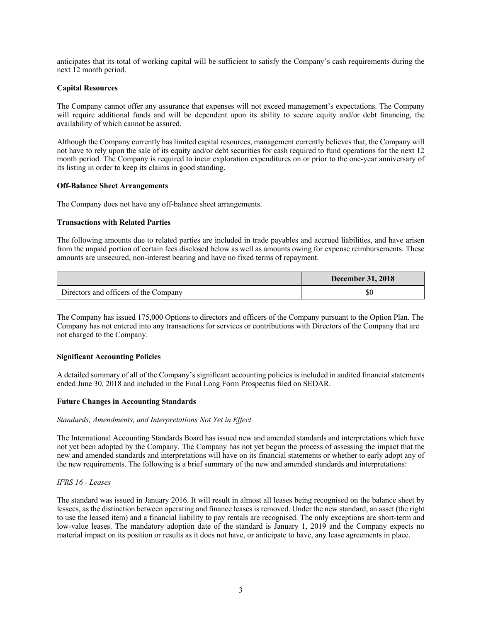anticipates that its total of working capital will be sufficient to satisfy the Company's cash requirements during the next 12 month period.

# **Capital Resources**

The Company cannot offer any assurance that expenses will not exceed management's expectations. The Company will require additional funds and will be dependent upon its ability to secure equity and/or debt financing, the availability of which cannot be assured.

Although the Company currently has limited capital resources, management currently believes that, the Company will not have to rely upon the sale of its equity and/or debt securities for cash required to fund operations for the next 12 month period. The Company is required to incur exploration expenditures on or prior to the one-year anniversary of its listing in order to keep its claims in good standing.

## **Off-Balance Sheet Arrangements**

The Company does not have any off-balance sheet arrangements.

# **Transactions with Related Parties**

The following amounts due to related parties are included in trade payables and accrued liabilities, and have arisen from the unpaid portion of certain fees disclosed below as well as amounts owing for expense reimbursements. These amounts are unsecured, non-interest bearing and have no fixed terms of repayment.

|                                       | <b>December 31, 2018</b> |
|---------------------------------------|--------------------------|
| Directors and officers of the Company | \$0                      |

The Company has issued 175,000 Options to directors and officers of the Company pursuant to the Option Plan. The Company has not entered into any transactions for services or contributions with Directors of the Company that are not charged to the Company.

## **Significant Accounting Policies**

A detailed summary of all of the Company's significant accounting policies is included in audited financial statements ended June 30, 2018 and included in the Final Long Form Prospectus filed on SEDAR.

## **Future Changes in Accounting Standards**

# *Standards, Amendments, and Interpretations Not Yet in Effect*

The International Accounting Standards Board has issued new and amended standards and interpretations which have not yet been adopted by the Company. The Company has not yet begun the process of assessing the impact that the new and amended standards and interpretations will have on its financial statements or whether to early adopt any of the new requirements. The following is a brief summary of the new and amended standards and interpretations:

## *IFRS 16 - Leases*

The standard was issued in January 2016. It will result in almost all leases being recognised on the balance sheet by lessees, as the distinction between operating and finance leases is removed. Under the new standard, an asset (the right to use the leased item) and a financial liability to pay rentals are recognised. The only exceptions are short-term and low-value leases. The mandatory adoption date of the standard is January 1, 2019 and the Company expects no material impact on its position or results as it does not have, or anticipate to have, any lease agreements in place.